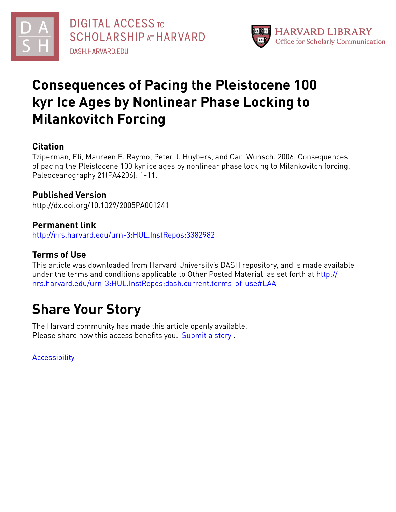



# **Consequences of Pacing the Pleistocene 100 kyr Ice Ages by Nonlinear Phase Locking to Milankovitch Forcing**

# **Citation**

Tziperman, Eli, Maureen E. Raymo, Peter J. Huybers, and Carl Wunsch. 2006. Consequences of pacing the Pleistocene 100 kyr ice ages by nonlinear phase locking to Milankovitch forcing. Paleoceanography 21(PA4206): 1-11.

# **Published Version**

http://dx.doi.org/10.1029/2005PA001241

## **Permanent link**

<http://nrs.harvard.edu/urn-3:HUL.InstRepos:3382982>

# **Terms of Use**

This article was downloaded from Harvard University's DASH repository, and is made available under the terms and conditions applicable to Other Posted Material, as set forth at [http://](http://nrs.harvard.edu/urn-3:HUL.InstRepos:dash.current.terms-of-use#LAA) [nrs.harvard.edu/urn-3:HUL.InstRepos:dash.current.terms-of-use#LAA](http://nrs.harvard.edu/urn-3:HUL.InstRepos:dash.current.terms-of-use#LAA)

# **Share Your Story**

The Harvard community has made this article openly available. Please share how this access benefits you. [Submit](http://osc.hul.harvard.edu/dash/open-access-feedback?handle=&title=Consequences%20of%20Pacing%20the%20Pleistocene%20100%20kyr%20Ice%20Ages%20by%0D%0ANonlinear%20Phase%20Locking%20to%20Milankovitch%20Forcing&community=1/1&collection=1/2&owningCollection1/2&harvardAuthors=12292aa29638efa321fd11538b8c7466&departmentEarth%20and%20Planetary%20Sciences) a story.

[Accessibility](https://dash.harvard.edu/pages/accessibility)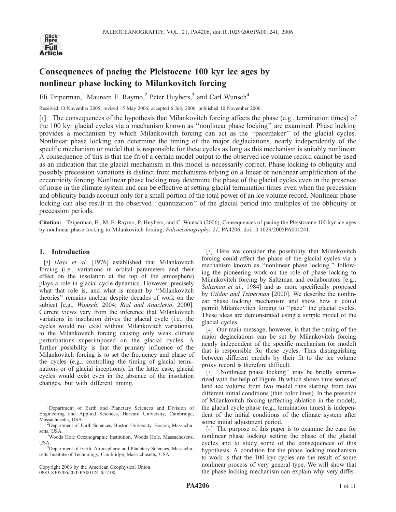

## Consequences of pacing the Pleistocene 100 kyr ice ages by nonlinear phase locking to Milankovitch forcing

Eli Tziperman,<sup>1</sup> Maureen E. Raymo,<sup>2</sup> Peter Huybers,<sup>3</sup> and Carl Wunsch<sup>4</sup>

Received 10 November 2005; revised 15 May 2006; accepted 6 July 2006; published 10 November 2006.

[1] The consequences of the hypothesis that Milankovitch forcing affects the phase (e.g., termination times) of the 100 kyr glacial cycles via a mechanism known as ''nonlinear phase locking'' are examined. Phase locking provides a mechanism by which Milankovitch forcing can act as the ''pacemaker'' of the glacial cycles. Nonlinear phase locking can determine the timing of the major deglaciations, nearly independently of the specific mechanism or model that is responsible for these cycles as long as this mechanism is suitably nonlinear. A consequence of this is that the fit of a certain model output to the observed ice volume record cannot be used as an indication that the glacial mechanism in this model is necessarily correct. Phase locking to obliquity and possibly precession variations is distinct from mechanisms relying on a linear or nonlinear amplification of the eccentricity forcing. Nonlinear phase locking may determine the phase of the glacial cycles even in the presence of noise in the climate system and can be effective at setting glacial termination times even when the precession and obliquity bands account only for a small portion of the total power of an ice volume record. Nonlinear phase locking can also result in the observed ''quantization'' of the glacial period into multiples of the obliquity or precession periods.

Citation: Tziperman, E., M. E. Raymo, P. Huybers, and C. Wunsch (2006), Consequences of pacing the Pleistocene 100 kyr ice ages by nonlinear phase locking to Milankovitch forcing, Paleoceanography, 21, PA4206, doi:10.1029/2005PA001241.

### 1. Introduction

[2] Hays et al. [1976] established that Milankovitch forcing (i.e., variations in orbital parameters and their effect on the insolation at the top of the atmosphere) plays a role in glacial cycle dynamics. However, precisely what that role is, and what is meant by ''Milankovitch theories'' remains unclear despite decades of work on the subject [e.g., Wunsch, 2004; Rial and Anaclerio, 2000]. Current views vary from the inference that Milankovitch variations in insolation drives the glacial cycle (i.e., the cycles would not exist without Milankovitch variations), to the Milankovitch forcing causing only weak climate perturbations superimposed on the glacial cycles. A further possibility is that the primary influence of the Milankovitch forcing is to set the frequency and phase of the cycles (e.g., controlling the timing of glacial terminations or of glacial inceptions). In the latter case, glacial cycles would exist even in the absence of the insolation changes, but with different timing.

Copyright 2006 by the American Geophysical Union. 0883-8305/06/2005PA001241\$12.00

[3] Here we consider the possibility that Milankovitch forcing could affect the phase of the glacial cycles via a mechanism known as ''nonlinear phase locking,'' following the pioneering work on the role of phase locking to Milankovitch forcing by Saltzman and collaborators [e.g., Saltzman et al., 1984] and as more specifically proposed by Gildor and Tziperman [2000]. We describe the nonlinear phase locking mechanism and show how it could permit Milankovitch forcing to ''pace'' the glacial cycles. These ideas are demonstrated using a simple model of the glacial cycles.

[4] Our main message, however, is that the timing of the major deglaciations can be set by Milankovitch forcing nearly independent of the specific mechanism (or model) that is responsible for these cycles. Thus distinguishing between different models by their fit to the ice volume proxy record is therefore difficult.

[5] ''Nonlinear phase locking'' may be briefly summarized with the help of Figure 1b which shows time series of land ice volume from two model runs starting from two different initial conditions (thin color lines). In the presence of Milankovitch forcing (affecting ablation in the model), the glacial cycle phase (e.g., termination times) is independent of the initial conditions of the climate system after some initial adjustment period.

[6] The purpose of this paper is to examine the case for nonlinear phase locking setting the phase of the glacial cycles and to study some of the consequences of this hypothesis. A condition for the phase locking mechanism to work is that the 100 kyr cycles are the result of some nonlinear process of very general type. We will show that the phase locking mechanism can explain why very differ-

<sup>&</sup>lt;sup>1</sup>Department of Earth and Planetary Sciences and Division of Engineering and Applied Sciences, Harvard University, Cambridge, Massachusetts, USA. <sup>2</sup>

Department of Earth Sciences, Boston University, Boston, Massachusetts, USA.

<sup>&</sup>lt;sup>3</sup>Woods Hole Oceanographic Institution, Woods Hole, Massachusetts, USA.

Department of Earth, Atmospheric and Planetary Sciences, Massachusetts Institute of Technology, Cambridge, Massachusetts, USA.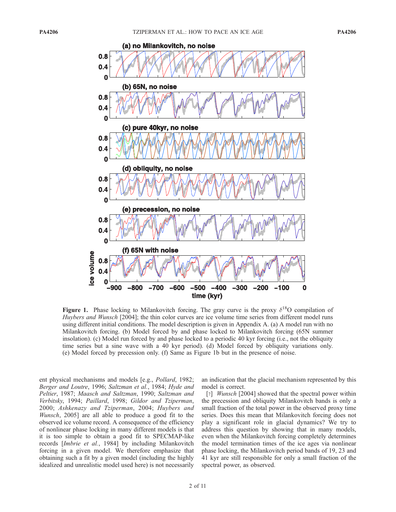

**Figure 1.** Phase locking to Milankovitch forcing. The gray curve is the proxy  $\delta^{18}$ O compilation of Huybers and Wunsch [2004]; the thin color curves are ice volume time series from different model runs using different initial conditions. The model description is given in Appendix A. (a) A model run with no Milankovitch forcing. (b) Model forced by and phase locked to Milankovitch forcing (65N summer insolation). (c) Model run forced by and phase locked to a periodic 40 kyr forcing (i.e., not the obliquity time series but a sine wave with a 40 kyr period). (d) Model forced by obliquity variations only. (e) Model forced by precession only. (f) Same as Figure 1b but in the presence of noise.

ent physical mechanisms and models [e.g., Pollard, 1982; Berger and Loutre, 1996; Saltzman et al., 1984; Hyde and Peltier, 1987; Maasch and Saltzman, 1990; Saltzman and Verbitsky, 1994; Paillard, 1998; Gildor and Tziperman, 2000; Ashkenazy and Tziperman, 2004; Huybers and Wunsch, 2005] are all able to produce a good fit to the observed ice volume record. A consequence of the efficiency of nonlinear phase locking in many different models is that it is too simple to obtain a good fit to SPECMAP-like records [Imbrie et al., 1984] by including Milankovitch forcing in a given model. We therefore emphasize that obtaining such a fit by a given model (including the highly idealized and unrealistic model used here) is not necessarily an indication that the glacial mechanism represented by this model is correct.

[7] *Wunsch* [2004] showed that the spectral power within the precession and obliquity Milankovitch bands is only a small fraction of the total power in the observed proxy time series. Does this mean that Milankovitch forcing does not play a significant role in glacial dynamics? We try to address this question by showing that in many models, even when the Milankovitch forcing completely determines the model termination times of the ice ages via nonlinear phase locking, the Milankovitch period bands of 19, 23 and 41 kyr are still responsible for only a small fraction of the spectral power, as observed.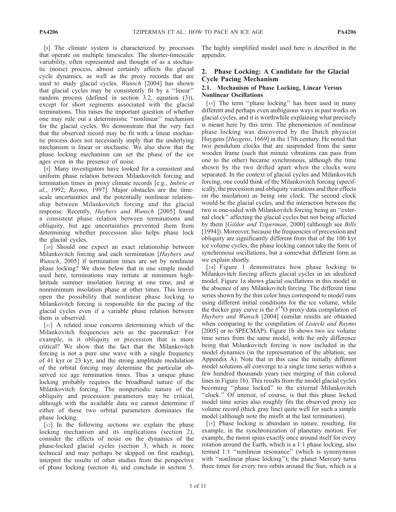[8] The climate system is characterized by processes that operate on multiple timescales. The shorter-timescale variability, often represented and thought of as a stochastic (noise) process, almost certainly affects the glacial cycle dynamics, as well as the proxy records that are used to study glacial cycles. Wunsch [2004] has shown that glacial cycles may be consistently fit by a ''linear'' random process (defined in section 3.2, equation (3)), except for short segments associated with the glacial terminations. This raises the important question of whether one may rule out a deterministic ''nonlinear'' mechanism for the glacial cycles. We demonstrate that the very fact that the observed record may be fit with a linear stochastic process does not necessarily imply that the underlying mechanism is linear or stochastic. We also show that the phase locking mechanism can set the phase of the ice ages even in the presence of noise.

[9] Many investigators have looked for a consistent and uniform phase relation between Milankovitch forcing and termination times in proxy climate records [e.g., Imbrie et al., 1992; Raymo, 1997]. Major obstacles are the timescale uncertainties and the potentially nonlinear relationship between Milankovitch forcing and the glacial response. Recently, Huybers and Wunsch [2005] found a consistent phase relation between terminations and obliquity, but age uncertainties prevented them from determining whether precession also helps phase lock the glacial cycles.

[10] Should one expect an exact relationship between Milankovitch forcing and each termination [Huybers and Wunsch, 2005] if termination times are set by nonlinear phase locking? We show below that in one simple model used here, terminations may initiate at minimum highlatitude summer insolation forcing at one time, and at nonminimum insolation phase at other times. This leaves open the possibility that nonlinear phase locking to Milankovitch forcing is responsible for the pacing of the glacial cycles even if a variable phase relation between them is observed.

[11] A related issue concerns determining which of the Milankovitch frequencies acts as the pacemaker: For example, is it obliquity or precession that is more critical? We show that the fact that the Milankovitch forcing is not a pure sine wave with a single frequency of 41 kyr or 23 kyr, and the strong amplitude modulation of the orbital forcing may determine the particular observed ice age termination times. Thus a unique phase locking probably requires the broadband nature of the Milankovitch forcing. The nonperiodic nature of the obliquity and precession parameters may be critical, although with the available data we cannot determine if either of these two orbital parameters dominates the phase locking.

[12] In the following sections we explain the phase locking mechanism and its implications (section 2), consider the effects of noise on the dynamics of the phase-locked glacial cycles (section 3, which is more technical and may perhaps be skipped on first reading), interpret the results of other studies from the perspective of phase locking (section 4), and conclude in section 5. The highly simplified model used here is described in the appendix.

### 2. Phase Locking: A Candidate for the Glacial Cycle Pacing Mechanism

### 2.1. Mechanism of Phase Locking, Linear Versus Nonlinear Oscillations

[13] The term "phase locking" has been used in many different and perhaps even ambiguous ways in past works on glacial cycles, and it is worthwhile explaining what precisely is meant here by this term. The phenomenon of nonlinear phase locking was discovered by the Dutch physicist Huygens [Huygens, 1669] in the 17th century. He noted that two pendulum clocks that are suspended from the same wooden frame (such that minute vibrations can pass from one to the other) became synchronous, although the time shown by the two drifted apart when the clocks were separated. In the context of glacial cycles and Milankovitch forcing, one could think of the Milankovitch forcing (specifically, the precession and obliquity variations and their effects on the insolation) as being one clock. The second clock would be the glacial cycles, and the interaction between the two is one-sided with Milankovitch forcing being an ''external clock'' affecting the glacial cycles but not being affected by them [Gildor and Tziperman, 2000] (although see Bills [1994]). Moreover, because the frequencies of precession and obliquity are significantly different from that of the 100 kyr ice volume cycles, the phase locking cannot take the form of synchronous oscillations, but a somewhat different form as we explain shortly.

[14] Figure 1 demonstrates how phase locking to Milankovitch forcing affects glacial cycles in an idealized model. Figure 1a shows glacial oscillations in this model in the absence of any Milankovitch forcing. The different time series shown by the thin color lines correspond to model runs using different initial conditions for the ice volume, while the thicker gray curve is the  $\delta^{18}$ O proxy data compilation of Huybers and Wunsch [2004] (similar results are obtained when comparing to the compilation of *Lisiecki and Raymo* [2005] or to SPECMAP). Figure 1b shows two ice volume time series from the same model, with the only difference being that Milankovitch forcing is now included in the model dynamics (in the representation of the ablation; see Appendix A). Note that in this case the initially different model solutions all converge to a single time series within a few hundred thousands years (see merging of thin colored lines in Figure 1b). This results from the model glacial cycles becoming ''phase locked'' to the external Milankovitch "clock." Of interest, of course, is that this phase locked model time series also roughly fits the observed proxy ice volume record (thick gray line) quite well for such a simple model (although note the misfit at the last termination).

[15] Phase locking is abundant in nature, resulting, for example, in the synchronization of planetary motion. For example, the moon spins exactly once around itself for every rotation around the Earth, which is a 1:1 phase locking, also termed 1:1 ''nonlinear resonance'' (which is synonymous with "nonlinear phase locking"); the planet Mercury turns three times for every two orbits around the Sun, which is a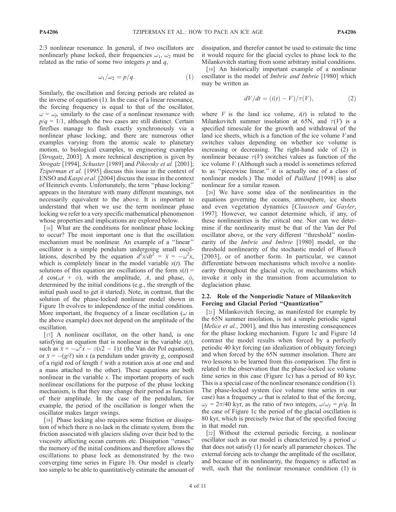2:3 nonlinear resonance. In general, if two oscillators are nonlinearly phase locked, their frequencies  $\omega_1$ ,  $\omega_2$  must be related as the ratio of some two integers  $p$  and  $q$ ,

$$
\omega_1/\omega_2 = p/q. \tag{1}
$$

Similarly, the oscillation and forcing periods are related as the inverse of equation (1). In the case of a linear resonance, the forcing frequency is equal to that of the oscillator,  $\omega = \omega_f$ , similarly to the case of a nonlinear resonance with  $p/q = 1/1$ , although the two cases are still distinct. Certain fireflies manage to flash exactly synchronously via a nonlinear phase locking; and there are numerous other examples varying from the atomic scale to planetary motion, to biological examples, to engineering examples [*Strogatz*, 2003]. A more technical description is given by Strogatz [1994], Schuster [1989] and Pikovsky et al. [2001]; Tziperman et al. [1995] discuss this issue in the context of ENSO and Kaspi et al. [2004] discuss the issue in the context of Heinrich events. Unfortunately, the term ''phase locking'' appears in the literature with many different meanings, not necessarily equivalent to the above. It is important to understand that when we use the term nonlinear phase locking we refer to a very specific mathematical phenomenon whose properties and implications are explored below.

[16] What are the conditions for nonlinear phase locking to occur? The most important one is that the oscillation mechanism must be nonlinear. An example of a ''linear'' oscillator is a simple pendulum undergoing small oscillations, described by the equation  $d^2x/dt^2 = \ddot{x} = -\omega^2x$ , which is completely linear in the model variable  $x(t)$ . The solutions of this equation are oscillations of the form  $x(t) =$ A cos( $\omega t + \phi$ ), with the amplitude, A, and phase,  $\phi$ , determined by the initial conditions (e.g., the strength of the initial push used to get it started). Note, in contrast, that the solution of the phase-locked nonlinear model shown in Figure 1b evolves to independence of the initial conditions. More important, the frequency of a linear oscillation ( $\omega$  in the above example) does not depend on the amplitude of the oscillation.

[17] A nonlinear oscillator, on the other hand, is one satisfying an equation that is nonlinear in the variable  $x(t)$ , such as  $\ddot{x} = -\omega^2 x - \varepsilon (x^2 - 1) \dot{x}$  (the Van der Pol equation), or  $\ddot{x} = -(g/\ell) \sin x$  (a pendulum under gravity g, composed of a rigid rod of length  $\ell$  with a rotation axis at one end and a mass attached to the other). These equations are both nonlinear in the variable x. The important property of such nonlinear oscillations for the purpose of the phase locking mechanism, is that they may change their period as function of their amplitude. In the case of the pendulum, for example, the period of the oscillation is longer when the oscillator makes larger swings.

[18] Phase locking also requires some friction or dissipation of which there is no lack in the climate system, from the friction associated with glaciers sliding over their bed to the viscosity affecting ocean currents etc. Dissipation ''erases'' the memory of the initial conditions and therefore allows the oscillations to phase lock as demonstrated by the two converging time series in Figure 1b. Our model is clearly too simple to be able to quantitatively estimate the amount of dissipation, and therefor cannot be used to estimate the time it would require for the glacial cycles to phase lock to the Milankovitch starting from some arbitrary initial conditions.

[19] An historically important example of a nonlinear oscillator is the model of Imbrie and Imbrie [1980] which may be written as

$$
dV/dt = (i(t) - V)/\tau(V), \qquad (2)
$$

where V is the land ice volume,  $i(t)$  is related to the Milankovitch summer insolation at 65N, and  $\tau(V)$  is a specified timescale for the growth and withdrawal of the land ice sheets, which is a function of the ice volume V and switches values depending on whether ice volume is increasing or decreasing. The right-hand side of (2) is nonlinear because  $\tau(V)$  switches values as function of the ice volume V. (Although such a model is sometimes referred to as ''piecewise linear,'' it is actually one of a class of nonlinear models.) The model of *Paillard* [1998] is also nonlinear for a similar reason.

[20] We have some idea of the nonlinearities in the equations governing the oceans, atmosphere, ice sheets and even vegetation dynamics [Claussen and Gayler, 1997]. However, we cannot determine which, if any, of these nonlinearities is the critical one. Nor can we determine if the nonlinearity must be that of the Van der Pol oscillator above, or the very different ''threshold'' nonlinearity of the Imbrie and Imbrie [1980] model, or the threshold nonlinearity of the stochastic model of Wunsch [2003], or of another form. In particular, we cannot differentiate between mechanisms which involve a nonlinearity throughout the glacial cycle, or mechanisms which invoke it only in the transition from accumulation to deglaciation phase.

#### 2.2. Role of the Nonperiodic Nature of Milankovitch Forcing and Glacial Period ''Quantization''

[21] Milankovitch forcing, as manifested for example by the 65N summer insolation, is not a simple periodic signal [*Melice et al.*, 2001], and this has interesting consequences for the phase locking mechanism. Figure 1c and Figure 1d contrast the model results when forced by a perfectly periodic 40 kyr forcing (an idealization of obliquity forcing) and when forced by the 65N summer insolation. There are two lessons to be learned from this comparison. The first is related to the observation that the phase-locked ice volume time series in this case (Figure 1c) has a period of 80 kyr. This is a special case of the nonlinear resonance condition (1). The phase-locked system (ice volume time series in our case) has a frequency  $\omega$  that is related to that of the forcing,  $\omega_f = 2\pi/40$  kyr, as the ratio of two integers,  $\omega/\omega_f = p/q$ . In the case of Figure 1c the period of the glacial oscillation is 80 kyr, which is precisely twice that of the specified forcing in that model run.

[22] Without the external periodic forcing, a nonlinear oscillator such as our model is characterized by a period  $\omega$ that does not satisfy (1) for nearly all parameter choices. The external forcing acts to change the amplitude of the oscillator, and because of its nonlinearity, the frequency is affected as well, such that the nonlinear resonance condition (1) is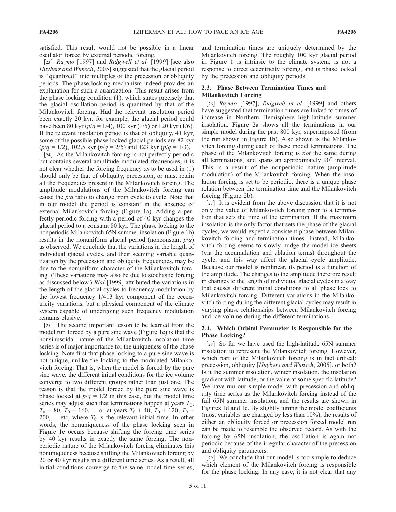satisfied. This result would not be possible in a linear oscillator forced by external periodic forcing.

[23] Raymo [1997] and Ridgwell et al. [1999] [see also Huybers and Wunsch, 2005] suggested that the glacial period is ''quantized'' into multiples of the precession or obliquity periods. The phase locking mechanism indeed provides an explanation for such a quantization. This result arises from the phase locking condition (1), which states precisely that the glacial oscillation period is quantized by that of the Milankovitch forcing. Had the relevant insolation period been exactly 20 kyr, for example, the glacial period could have been 80 kyr ( $p/q = 1/4$ ), 100 kyr (1/5) or 120 kyr (1/6). If the relevant insolation period is that of obliquity, 41 kyr, some of the possible phase locked glacial periods are 82 kyr  $(p/q = 1/2)$ , 102.5 kyr  $(p/q = 2/5)$  and 123 kyr  $(p/q = 1/3)$ .

[24] As the Milankovitch forcing is not perfectly periodic but contains several amplitude modulated frequencies, it is not clear whether the forcing frequency  $\omega_f$  to be used in (1) should only be that of obliquity, precession, or must retain all the frequencies present in the Milankovitch forcing. The amplitude modulations of the Milankovitch forcing can cause the  $p/q$  ratio to change from cycle to cycle. Note that in our model the period is constant in the absence of external Milankovitch forcing (Figure 1a). Adding a perfectly periodic forcing with a period of 40 kyr changes the glacial period to a constant 80 kyr. The phase locking to the nonperiodic Milankovitch 65N summer insolation (Figure 1b) results in the nonuniform glacial period (nonconstant  $p/q$ ) as observed. We conclude that the variations in the length of individual glacial cycles, and their seeming variable quantization by the precession and obliquity frequencies, may be due to the nonuniform character of the Milankovitch forcing. (These variations may also be due to stochastic forcing as discussed below.) Rial [1999] attributed the variations in the length of the glacial cycles to frequency modulation by the lowest frequency 1/413 kyr component of the eccentricity variations, but a physical component of the climate system capable of undergoing such frequency modulation remains elusive.

[25] The second important lesson to be learned from the model run forced by a pure sine wave (Figure 1c) is that the nonsinusoidal nature of the Milankovitch insolation time series is of major importance for the uniqueness of the phase locking. Note first that phase locking to a pure sine wave is not unique, unlike the locking to the modulated Milankovitch forcing. That is, when the model is forced by the pure sine wave, the different initial conditions for the ice volume converge to two different groups rather than just one. The reason is that the model forced by the pure sine wave is phase locked at  $p/q = 1/2$  in this case, but the model time series may adjust such that terminations happen at years  $T_0$ ,  $T_0$  + 80,  $T_0$  + 160,... or at years  $T_0$  + 40,  $T_0$  + 120,  $T_0$  + 200,... etc, where  $T_0$  is the relevant initial time. In other words, the nonuniqueness of the phase locking seen in Figure 1c occurs because shifting the forcing time series by 40 kyr results in exactly the same forcing. The nonperiodic nature of the Milankovitch forcing eliminates this nonuniqueness because shifting the Milankovitch forcing by 20 or 40 kyr results in a different time series. As a result, all initial conditions converge to the same model time series,

and termination times are uniquely determined by the Milankovitch forcing. The roughly 100 kyr glacial period in Figure 1 is intrinsic to the climate system, is not a response to direct eccentricity forcing, and is phase locked by the precession and obliquity periods.

#### 2.3. Phase Between Termination Times and Milankovitch Forcing

[26] *Raymo* [1997], *Ridgwell et al.* [1999] and others have suggested that termination times are linked to times of increase in Northern Hemisphere high-latitude summer insolation. Figure 2a shows all the terminations in our simple model during the past 800 kyr, superimposed (from the run shown in Figure 1b). Also shown is the Milankovitch forcing during each of these model terminations. The phase of the Milankovitch forcing is not the same during all terminations, and spans an approximately  $90^\circ$  interval. This is a result of the nonperiodic nature (amplitude modulation) of the Milankovitch forcing. When the insolation forcing is set to be periodic, there is a unique phase relation between the termination time and the Milankovitch forcing (Figure 2b).

[27] It is evident from the above discussion that it is not only the value of Milankovitch forcing prior to a termination that sets the time of the termination. If the maximum insolation is the only factor that sets the phase of the glacial cycles, we would expect a consistent phase between Milankovitch forcing and termination times. Instead, Milankovitch forcing seems to slowly nudge the model ice sheets (via the accumulation and ablation terms) throughout the cycle, and this way affect the glacial cycle amplitude. Because our model is nonlinear, its period is a function of the amplitude. The changes to the amplitude therefore result in changes to the length of individual glacial cycles in a way that causes different initial conditions to all phase lock to Milankovitch forcing. Different variations in the Milankovitch forcing during the different glacial cycles may result in varying phase relationships between Milankovitch forcing and ice volume during the different terminations.

#### 2.4. Which Orbital Parameter Is Responsible for the Phase Locking?

[28] So far we have used the high-latitude 65N summer insolation to represent the Milankovitch forcing. However, which part of the Milankovitch forcing is in fact critical: precession, obliquity [Huybers and Wunsch, 2005], or both? Is it the summer insolation, winter insolation, the insolation gradient with latitude, or the value at some specific latitude? We have run our simple model with precession and obliquity time series as the Milankovitch forcing instead of the full 65N summer insolation, and the results are shown in Figures 1d and 1e. By slightly tuning the model coefficients (most variables are changed by less than 10%), the results of either an obliquity forced or precession forced model run can be made to resemble the observed record. As with the forcing by 65N insolation, the oscillation is again not periodic because of the irregular character of the precession and obliquity parameters.

[29] We conclude that our model is too simple to deduce which element of the Milankovitch forcing is responsible for the phase locking. In any case, it is not clear that any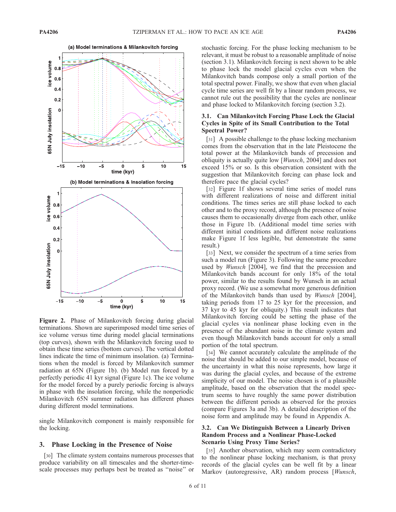

Figure 2. Phase of Milankovitch forcing during glacial terminations. Shown are superimposed model time series of ice volume versus time during model glacial terminations (top curves), shown with the Milankovitch forcing used to obtain these time series (bottom curves). The vertical dotted lines indicate the time of minimum insolation. (a) Terminations when the model is forced by Milankovitch summer radiation at 65N (Figure 1b). (b) Model run forced by a perfectly periodic 41 kyr signal (Figure 1c). The ice volume for the model forced by a purely periodic forcing is always in phase with the insolation forcing, while the nonperiodic Milankovitch 65N summer radiation has different phases during different model terminations.

single Milankovitch component is mainly responsible for the locking.

#### 3. Phase Locking in the Presence of Noise

[30] The climate system contains numerous processes that produce variability on all timescales and the shorter-timescale processes may perhaps best be treated as ''noise'' or stochastic forcing. For the phase locking mechanism to be relevant, it must be robust to a reasonable amplitude of noise (section 3.1). Milankovitch forcing is next shown to be able to phase lock the model glacial cycles even when the Milankovitch bands compose only a small portion of the total spectral power. Finally, we show that even when glacial cycle time series are well fit by a linear random process, we cannot rule out the possibility that the cycles are nonlinear and phase locked to Milankovitch forcing (section 3.2).

### 3.1. Can Milankovitch Forcing Phase Lock the Glacial Cycles in Spite of its Small Contribution to the Total Spectral Power?

[31] A possible challenge to the phase locking mechanism comes from the observation that in the late Pleistocene the total power at the Milankovitch bands of precession and obliquity is actually quite low [Wunsch, 2004] and does not exceed 15% or so. Is this observation consistent with the suggestion that Milankovitch forcing can phase lock and therefore pace the glacial cycles?

[32] Figure 1f shows several time series of model runs with different realizations of noise and different initial conditions. The times series are still phase locked to each other and to the proxy record, although the presence of noise causes them to occasionally diverge from each other, unlike those in Figure 1b. (Additional model time series with different initial conditions and different noise realizations make Figure 1f less legible, but demonstrate the same result.)

[33] Next, we consider the spectrum of a time series from such a model run (Figure 3). Following the same procedure used by Wunsch [2004], we find that the precession and Milankovitch bands account for only 18% of the total power, similar to the results found by Wunsch in an actual proxy record. (We use a somewhat more generous definition of the Milankovitch bands than used by Wunsch [2004], taking periods from 17 to 25 kyr for the precession, and 37 kyr to 45 kyr for obliquity.) This result indicates that Milankovitch forcing could be setting the phase of the glacial cycles via nonlinear phase locking even in the presence of the abundant noise in the climate system and even though Milankovitch bands account for only a small portion of the total spectrum.

[34] We cannot accurately calculate the amplitude of the noise that should be added to our simple model, because of the uncertainty in what this noise represents, how large it was during the glacial cycles, and because of the extreme simplicity of our model. The noise chosen is of a plausible amplitude, based on the observation that the model spectrum seems to have roughly the same power distribution between the different periods as observed for the proxies (compare Figures 3a and 3b). A detailed description of the noise form and amplitude may be found in Appendix A.

#### 3.2. Can We Distinguish Between a Linearly Driven Random Process and a Nonlinear Phase-Locked Scenario Using Proxy Time Series?

[35] Another observation, which may seem contradictory to the nonlinear phase locking mechanism, is that proxy records of the glacial cycles can be well fit by a linear Markov (autoregressive, AR) random process [*Wunsch*,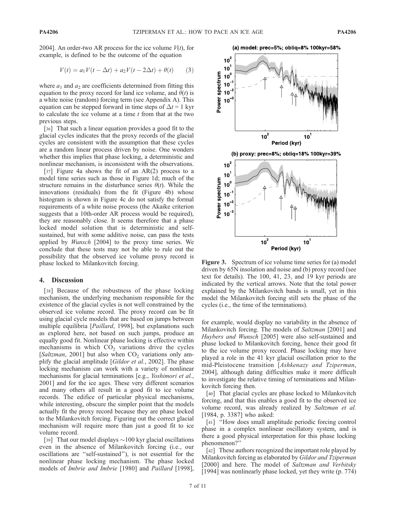2004]. An order-two AR process for the ice volume  $V(t)$ , for example, is defined to be the outcome of the equation

$$
V(t) = a_1 V(t - \Delta t) + a_2 V(t - 2\Delta t) + \theta(t)
$$
 (3)

where  $a_1$  and  $a_2$  are coefficients determined from fitting this equation to the proxy record for land ice volume, and  $\theta(t)$  is a white noise (random) forcing term (see Appendix A). This equation can be stepped forward in time steps of  $\Delta t = 1$  kyr to calculate the ice volume at a time  $t$  from that at the two previous steps.

[36] That such a linear equation provides a good fit to the glacial cycles indicates that the proxy records of the glacial cycles are consistent with the assumption that these cycles are a random linear process driven by noise. One wonders whether this implies that phase locking, a deterministic and nonlinear mechanism, is inconsistent with the observations.

[37] Figure 4a shows the fit of an  $AR(2)$  process to a model time series such as those in Figure 1d; much of the structure remains in the disturbance series  $\theta(t)$ . While the innovations (residuals) from the fit (Figure 4b) whose histogram is shown in Figure 4c do not satisfy the formal requirements of a white noise process (the Akaike criterion suggests that a 10th-order AR process would be required), they are reasonably close. It seems therefore that a phase locked model solution that is deterministic and selfsustained, but with some additive noise, can pass the tests applied by Wunsch [2004] to the proxy time series. We conclude that these tests may not be able to rule out the possibility that the observed ice volume proxy record is phase locked to Milankovitch forcing.

#### 4. Discussion

[38] Because of the robustness of the phase locking mechanism, the underlying mechanism responsible for the existence of the glacial cycles is not well constrained by the observed ice volume record. The proxy record can be fit using glacial cycle models that are based on jumps between multiple equilibria [*Paillard*, 1998], but explanations such as explored here, not based on such jumps, produce an equally good fit. Nonlinear phase locking is effective within mechanisms in which  $CO<sub>2</sub>$  variations drive the cycles [Saltzman, 2001] but also when  $CO<sub>2</sub>$  variations only amplify the glacial amplitude [Gildor et al., 2002]. The phase locking mechanism can work with a variety of nonlinear mechanisms for glacial terminations [e.g., Yoshimori et al., 2001] and for the ice ages. These very different scenarios and many others all result in a good fit to ice volume records. The edifice of particular physical mechanisms, while interesting, obscure the simpler point that the models actually fit the proxy record because they are phase locked to the Milankovitch forcing. Figuring out the correct glacial mechanism will require more than just a good fit to ice volume record.

[39] That our model displays  $\sim$ 100 kyr glacial oscillations even in the absence of Milankovitch forcing (i.e., our oscillations are ''self-sustained''), is not essential for the nonlinear phase locking mechanism. The phase locked models of Imbrie and Imbrie [1980] and Paillard [1998],



Figure 3. Spectrum of ice volume time series for (a) model driven by 65N insolation and noise and (b) proxy record (see text for details). The 100, 41, 23, and 19 kyr periods are indicated by the vertical arrows. Note that the total power explained by the Milankovitch bands is small, yet in this model the Milankovitch forcing still sets the phase of the cycles (i.e., the time of the terminations).

for example, would display no variability in the absence of Milankovitch forcing. The models of Saltzman [2001] and Huybers and Wunsch [2005] were also self-sustained and phase locked to Milankovitch forcing, hence their good fit to the ice volume proxy record. Phase locking may have played a role in the 41 kyr glacial oscillation prior to the mid-Pleistocene transition [Ashkenazy and Tziperman, 2004], although dating difficulties make it more difficult to investigate the relative timing of terminations and Milankovitch forcing then.

[40] That glacial cycles are phase locked to Milankovitch forcing, and that this enables a good fit to the observed ice volume record, was already realized by Saltzman et al. [1984, p. 3387] who asked:

[41] "How does small amplitude periodic forcing control phase in a complex nonlinear oscillatory system, and is there a good physical interpretation for this phase locking phenomenon?''

[42] These authors recognized the important role played by Milankovitch forcing as elaborated by Gildor and Tziperman [2000] and here. The model of Saltzman and Verbitsky [1994] was nonlinearly phase locked, yet they write (p. 774)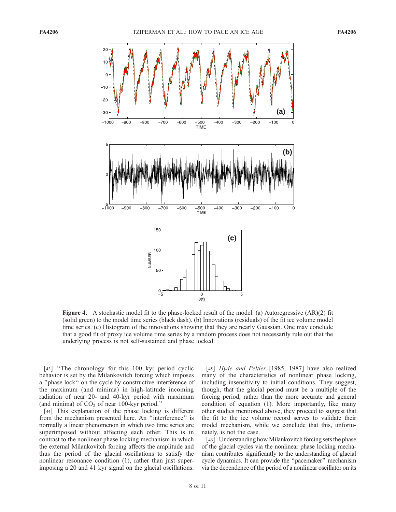

Figure 4. A stochastic model fit to the phase-locked result of the model. (a) Autoregressive (AR)(2) fit (solid green) to the model time series (black dash). (b) Innovations (residuals) of the fit ice volume model time series. (c) Histogram of the innovations showing that they are nearly Gaussian. One may conclude that a good fit of proxy ice volume time series by a random process does not necessarily rule out that the underlying process is not self-sustained and phase locked.

[43] "The chronology for this 100 kyr period cyclic behavior is set by the Milankovitch forcing which imposes a ''phase lock'' on the cycle by constructive interference of the maximum (and minima) in high-latitude incoming radiation of near 20- and 40-kyr period with maximum (and minima) of  $CO<sub>2</sub>$  of near 100-kyr period."

[44] This explanation of the phase locking is different from the mechanism presented here. An ''interference'' is normally a linear phenomenon in which two time series are superimposed without affecting each other. This is in contrast to the nonlinear phase locking mechanism in which the external Milankovitch forcing affects the amplitude and thus the period of the glacial oscillations to satisfy the nonlinear resonance condition (1), rather than just superimposing a 20 and 41 kyr signal on the glacial oscillations.

[45] *Hyde and Peltier* [1985, 1987] have also realized many of the characteristics of nonlinear phase locking, including insensitivity to initial conditions. They suggest, though, that the glacial period must be a multiple of the forcing period, rather than the more accurate and general condition of equation (1). More importantly, like many other studies mentioned above, they proceed to suggest that the fit to the ice volume record serves to validate their model mechanism, while we conclude that this, unfortunately, is not the case.

[46] Understanding how Milankovitch forcing sets the phase of the glacial cycles via the nonlinear phase locking mechanism contributes significantly to the understanding of glacial cycle dynamics. It can provide the ''pacemaker'' mechanism via the dependence of the period of a nonlinear oscillator on its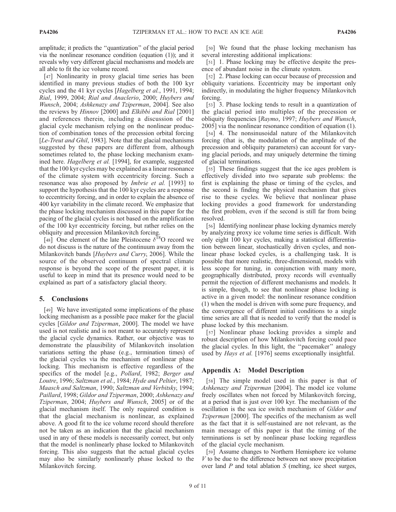amplitude; it predicts the ''quantization'' of the glacial period via the nonlinear resonance condition (equation (1)); and it reveals why very different glacial mechanisms and models are all able to fit the ice volume record.

[47] Nonlinearity in proxy glacial time series has been identified in many previous studies of both the 100 kyr cycles and the 41 kyr cycles [Hagelberg et al., 1991, 1994; Rial, 1999, 2004; Rial and Anaclerio, 2000; Huybers and Wunsch, 2004; Ashkenazy and Tziperman, 2004]. See also the reviews by Hinnov [2000] and Elkibbi and Rial [2001] and references therein, including a discussion of the glacial cycle mechanism relying on the nonlinear production of combination tones of the precession orbital forcing [Le-Treut and Ghil, 1983]. Note that the glacial mechanisms suggested by these papers are different from, although sometimes related to, the phase locking mechanism examined here. *Hagelberg et al.* [1994], for example, suggested that the 100 kyr cycles may be explained as a linear resonance of the climate system with eccentricity forcing. Such a resonance was also proposed by Imbrie et al. [1993] to support the hypothesis that the 100 kyr cycles are a response to eccentricity forcing, and in order to explain the absence of 400 kyr variability in the climate record. We emphasize that the phase locking mechanism discussed in this paper for the pacing of the glacial cycles is not based on the amplification of the 100 kyr eccentricity forcing, but rather relies on the obliquity and precession Milankovitch forcing.

[48] One element of the late Pleistocene  $\delta^{18}$ O record we do not discuss is the nature of the continuum away from the Milankovitch bands [Huybers and Curry, 2006]. While the source of the observed continuum of spectral climate response is beyond the scope of the present paper, it is useful to keep in mind that its presence would need to be explained as part of a satisfactory glacial theory.

#### 5. Conclusions

[49] We have investigated some implications of the phase locking mechanism as a possible pace maker for the glacial cycles [Gildor and Tziperman, 2000]. The model we have used is not realistic and is not meant to accurately represent the glacial cycle dynamics. Rather, our objective was to demonstrate the plausibility of Milankovitch insolation variations setting the phase (e.g., termination times) of the glacial cycles via the mechanism of nonlinear phase locking. This mechanism is effective regardless of the specifics of the model [e.g., Pollard, 1982; Berger and Loutre, 1996; Saltzman et al., 1984; Hyde and Peltier, 1987; Maasch and Saltzman, 1990; Saltzman and Verbitsky, 1994; Paillard, 1998; Gildor and Tziperman, 2000; Ashkenazy and Tziperman, 2004; Huybers and Wunsch, 2005] or of the glacial mechanism itself. The only required condition is that the glacial mechanism is nonlinear, as explained above. A good fit to the ice volume record should therefore not be taken as an indication that the glacial mechanism used in any of these models is necessarily correct, but only that the model is nonlinearly phase locked to Milankovitch forcing. This also suggests that the actual glacial cycles may also be similarly nonlinearly phase locked to the Milankovitch forcing.

[50] We found that the phase locking mechanism has several interesting additional implications:

[51] 1. Phase locking may be effective despite the presence of abundant noise in the climate system.

[52] 2. Phase locking can occur because of precession and obliquity variations. Eccentricity may be important only indirectly, in modulating the higher frequency Milankovitch forcing.

[53] 3. Phase locking tends to result in a quantization of the glacial period into multiples of the precession or obliquity frequencies [Raymo, 1997; Huybers and Wunsch, 2005] via the nonlinear resonance condition of equation (1).

[54] 4. The nonsinusoidal nature of the Milankovitch forcing (that is, the modulation of the amplitude of the precession and obliquity parameters) can account for varying glacial periods, and may uniquely determine the timing of glacial terminations.

[55] These findings suggest that the ice ages problem is effectively divided into two separate sub problems: the first is explaining the phase or timing of the cycles, and the second is finding the physical mechanism that gives rise to these cycles. We believe that nonlinear phase locking provides a good framework for understanding the first problem, even if the second is still far from being resolved.

[56] Identifying nonlinear phase locking dynamics merely by analyzing proxy ice volume time series is difficult. With only eight 100 kyr cycles, making a statistical differentiation between linear, stochastically driven cycles, and nonlinear phase locked cycles, is a challenging task. It is possible that more realistic, three-dimensional, models with less scope for tuning, in conjunction with many more, geographically distributed, proxy records will eventually permit the rejection of different mechanisms and models. It is simple, though, to see that nonlinear phase locking is active in a given model: the nonlinear resonance condition (1) when the model is driven with some pure frequency, and the convergence of different initial conditions to a single time series are all that is needed to verify that the model is phase locked by this mechanism.

[57] Nonlinear phase locking provides a simple and robust description of how Milankovitch forcing could pace the glacial cycles. In this light, the ''pacemaker'' analogy used by *Hays et al.* [1976] seems exceptionally insightful.

### Appendix A: Model Description

[58] The simple model used in this paper is that of Ashkenazy and Tziperman [2004]. The model ice volume freely oscillates when not forced by Milankovitch forcing, at a period that is just over 100 kyr. The mechanism of the oscillation is the sea ice switch mechanism of Gildor and Tziperman [2000]. The specifics of the mechanism as well as the fact that it is self-sustained are not relevant, as the main message of this paper is that the timing of the terminations is set by nonlinear phase locking regardless of the glacial cycle mechanism.

[59] Assume changes to Northern Hemisphere ice volume  $V$  to be due to the difference between net snow precipitation over land  $P$  and total ablation  $S$  (melting, ice sheet surges,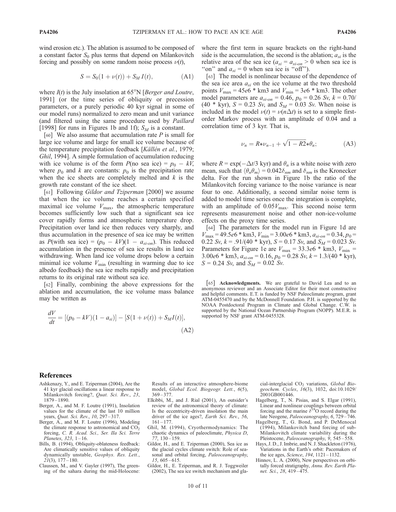wind erosion etc.). The ablation is assumed to be composed of a constant factor  $S_0$  plus terms that depend on Milankovitch forcing and possibly on some random noise process  $\nu(t)$ ,

$$
S = S_0(1 + \nu(t)) + S_M I(t), \tag{A1}
$$

where  $I(t)$  is the July insolation at 65°N [Berger and Loutre, 1991] (or the time series of obliquity or precession parameters, or a purely periodic 40 kyr signal in some of our model runs) normalized to zero mean and unit variance (and filtered using the same procedure used by Paillard [1998] for runs in Figures 1b and 1f);  $S_M$  is a constant.

[60] We also assume that accumulation rate  $P$  is small for large ice volume and large for small ice volume because of the temperature precipitation feedback [Källén et al., 1979; Ghil, 1994]. A simple formulation of accumulation reducing with ice volume is of the form  $P(\text{no sea ice}) = p_0 - kV$ , where  $p_0$  and k are constants:  $p_0$  is the precipitation rate when the ice sheets are completely melted and  $k$  is the growth rate constant of the ice sheet.

[61] Following *Gildor and Tziperman* [2000] we assume that when the ice volume reaches a certain specified maximal ice volume  $V_{\text{max}}$ , the atmospheric temperature becomes sufficiently low such that a significant sea ice cover rapidly forms and atmospheric temperature drop. Precipitation over land ice then reduces very sharply, and thus accumulation in the presence of sea ice may be written as  $P(\text{with sea ice}) = (p_0 - kV)(1 - a_{si-on})$ . This reduced accumulation in the presence of sea ice results in land ice withdrawing. When land ice volume drops below a certain minimal ice volume  $V_{\text{min}}$  (resulting in warming due to ice albedo feedback) the sea ice melts rapidly and precipitation returns to its original rate without sea ice.

[62] Finally, combining the above expressions for the ablation and accumulation, the ice volume mass balance may be written as

$$
\frac{dV}{dt} = [(p_0 - kV)(1 - a_{si})] - [S(1 + \nu(t)) + S_M I(t)],
$$
\n(A2)

where the first term in square brackets on the right-hand side is the accumulation, the second is the ablation;  $a_{si}$  is the relative area of the sea ice  $(a_{si} = a_{si-on} > 0$  when sea ice is "on" and  $a_{si} = 0$  when sea ice is "off").

[63] The model is nonlinear because of the dependence of the sea ice area  $a_{si}$  on the ice volume at the two threshold points  $V_{\text{max}} = 45e6 * \text{km}3$  and  $V_{\text{min}} = 3e6 * \text{km}3$ . The other model parameters are  $a_{si-on} = 0.46$ ,  $p_0 = 0.26$  Sv,  $k = 0.70/$ (40 \* kyr),  $S = 0.23$  Sv, and  $S_M = 0.03$  Sv. When noise is included in the model  $\nu(t) = \nu(n\Delta t)$  is set to a simple firstorder Markov process with an amplitude of 0.04 and a correlation time of 3 kyr. That is,

$$
\nu_n = R * \nu_{n-1} + \sqrt{1 - R^2} * \theta_n;
$$
 (A3)

where  $R = \exp(-\Delta t/3 \text{ kyr})$  and  $\theta_n$  is a white noise with zero mean, such that  $\langle \theta_n \theta_m \rangle = 0.042 \delta_{nm}$  and  $\delta_{nm}$  is the Kronecker delta. For the run shown in Figure 1b the ratio of the Milankovitch forcing variance to the noise variance is near four to one. Additionally, a second similar noise term is added to model time series once the integration is complete, with an amplitude of  $0.05V_{\text{max}}$ . This second noise term represents measurement noise and other non-ice-volume effects on the proxy time series.

[64] The parameters for the model run in Figure 1d are  $V_{\text{max}} = 49.5e6 * \text{km}3$ ,  $V_{\text{min}} = 3.00e6 * \text{km}3$ ,  $a_{\text{si-on}} = 0.34$ ,  $p_0 =$ 0.22 Sv,  $k = .91/(40 * \text{kyr})$ ,  $S = 0.17$  Sv, and  $S_M = 0.023$  Sv. Parameters for Figure 1e are  $V_{\text{max}} = 33.3e6 * \text{km}3$ ,  $V_{\text{min}} =$ 3.00e6 \* km3,  $a_{si-on} = 0.16$ ,  $p_0 = 0.28$  Sv,  $k = 1.3/(40$  \* kyr),  $S = 0.24$  Sv, and  $S_M = 0.02$  Sv.

[65] Acknowledgments. We are grateful to David Lea and to an anonymous reviewer and an Associate Editor for their most constructive and helpful comments. E.T. is funded by NSF Paleoclimate program, grant ATM-0455470 and by the McDonnell Foundation. P.H. is supported by the NOAA Postdoctoral Program in Climate and Global Change. C.W. is supported by the National Ocean Partnership Program (NOPP). M.E.R. is supported by NSF grant ATM-0455328.

#### References

- Ashkenazy, Y., and E. Tziperman (2004), Are the 41 kyr glacial oscillations a linear response to Milankovitch forcing?, Quat. Sci. Rev., 23, 1879 – 1890.
- Berger, A., and M. F. Loutre (1991), Insolation values for the climate of the last 10 million years, *Quat. Sci. Rev.*, 10, 297-317.
- Berger, A., and M. F. Loutre (1996), Modeling the climate response to astronomical and  $CO<sub>2</sub>$ forcing, C. R. Acad. Sci., Ser. IIa Sci. Terre Planetes,  $323$ ,  $1 - 16$ .
- Bills, B. (1994), Obliquity-oblateness feedback: Are climatically sensitive values of obliquity dynamically unstable, Geophys. Res. Lett.,  $21(3)$ ,  $177 - 180$ .
- Claussen, M., and V. Gayler (1997), The greening of the sahara during the mid-Holocene:

Results of an interactive atmosphere-biome model, Global Ecol. Biogeogr. Lett., 6(5),  $369 - 377$ .

- Elkibbi, M., and J. Rial (2001), An outsider's review of the astronomical theory of climate: Is the eccentricity-driven insolation the main driver of the ice ages?, Earth Sci. Rev., 56,  $161 - 177$
- Ghil, M. (1994), Cryothermodynamics: The chaotic dynamics of paleoclimate, Physica D, 77, 130 – 159.
- Gildor, H., and E. Tziperman (2000), Sea ice as the glacial cycles climate switch: Role of seasonal and orbital forcing, Paleoceanography,  $15, 605 - 615.$
- Gildor, H., E. Tziperman, and R. J. Toggweiler (2002), The sea ice switch mechanism and gla-

cial-interglacial  $CO<sub>2</sub>$  variations, Global Biogeochem. Cycles, 16(3), 1032, doi:10.1029/ 2001GB001446.

- Hagelberg, T., N. Pisias, and S. Elgar (1991), Linear and nonlinear couplings between orbital forcing and the marine  $\delta^{18}$ O record during the late Neogene, Paleoceanography, 6, 729 – 746.
- Hagelberg, T., G. Bond, and P. DeMenocal (1994), Milankovitch band forcing of sub-Milankovitch climate variability during the Pleistocene, Paleoceanography, 9, 545-558.
- Hays, J. D., J. Imbrie, and N. J. Shackleton (1976), Variations in the Earth's orbit: Pacemakers of the ice ages, Science, 194, 1121 – 1132.
- Hinnov, L. A. (2000), New perspectives on orbitally forced stratigraphy, Annu. Rev. Earth Planet. Sci., 28, 419 – 475.